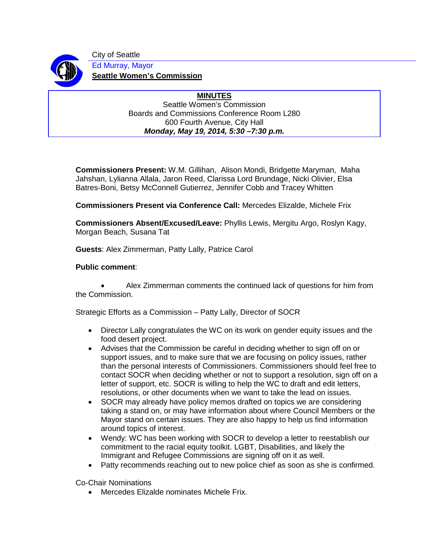

City of Seattle Ed Murray, Mayor **Seattle Women's Commission**

> **MINUTES** Seattle Women's Commission Boards and Commissions Conference Room L280 600 Fourth Avenue, City Hall *Monday, May 19, 2014, 5:30 –7:30 p.m.*

**Commissioners Present:** W.M. Gillihan, Alison Mondi, Bridgette Maryman, Maha Jahshan, Lylianna Allala, Jaron Reed, Clarissa Lord Brundage, Nicki Olivier, Elsa Batres-Boni, Betsy McConnell Gutierrez, Jennifer Cobb and Tracey Whitten

**Commissioners Present via Conference Call:** Mercedes Elizalde, Michele Frix

**Commissioners Absent/Excused/Leave:** Phyllis Lewis, Mergitu Argo, Roslyn Kagy, Morgan Beach, Susana Tat

**Guests**: Alex Zimmerman, Patty Lally, Patrice Carol

## **Public comment**:

• Alex Zimmerman comments the continued lack of questions for him from the Commission.

Strategic Efforts as a Commission – Patty Lally, Director of SOCR

- Director Lally congratulates the WC on its work on gender equity issues and the food desert project.
- Advises that the Commission be careful in deciding whether to sign off on or support issues, and to make sure that we are focusing on policy issues, rather than the personal interests of Commissioners. Commissioners should feel free to contact SOCR when deciding whether or not to support a resolution, sign off on a letter of support, etc. SOCR is willing to help the WC to draft and edit letters, resolutions, or other documents when we want to take the lead on issues.
- SOCR may already have policy memos drafted on topics we are considering taking a stand on, or may have information about where Council Members or the Mayor stand on certain issues. They are also happy to help us find information around topics of interest.
- Wendy: WC has been working with SOCR to develop a letter to reestablish our commitment to the racial equity toolkit. LGBT, Disabilities, and likely the Immigrant and Refugee Commissions are signing off on it as well.
- Patty recommends reaching out to new police chief as soon as she is confirmed.

Co-Chair Nominations

• Mercedes Elizalde nominates Michele Frix.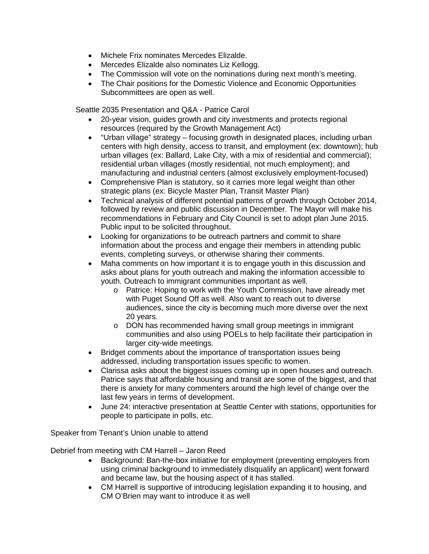- Michele Frix nominates Mercedes Elizalde.
- Mercedes Elizalde also nominates Liz Kellogg.
- The Commission will vote on the nominations during next month's meeting.
- The Chair positions for the Domestic Violence and Economic Opportunities Subcommittees are open as well.

Seattle 2035 Presentation and Q&A - Patrice Carol

- 20-year vision, guides growth and city investments and protects regional resources (required by the Growth Management Act)
- "Urban village" strategy focusing growth in designated places, including urban centers with high density, access to transit, and employment (ex: downtown); hub urban villages (ex: Ballard, Lake City, with a mix of residential and commercial); residential urban villages (mostly residential, not much employment); and manufacturing and industrial centers (almost exclusively employment-focused)
- Comprehensive Plan is statutory, so it carries more legal weight than other strategic plans (ex: Bicycle Master Plan, Transit Master Plan)
- Technical analysis of different potential patterns of growth through October 2014, followed by review and public discussion in December. The Mayor will make his recommendations in February and City Council is set to adopt plan June 2015. Public input to be solicited throughout.
- Looking for organizations to be outreach partners and commit to share information about the process and engage their members in attending public events, completing surveys, or otherwise sharing their comments.
- Maha comments on how important it is to engage youth in this discussion and asks about plans for youth outreach and making the information accessible to youth. Outreach to immigrant communities important as well.
	- o Patrice: Hoping to work with the Youth Commission, have already met with Puget Sound Off as well. Also want to reach out to diverse audiences, since the city is becoming much more diverse over the next 20 years.
	- o DON has recommended having small group meetings in immigrant communities and also using POELs to help facilitate their participation in larger city-wide meetings.
- Bridget comments about the importance of transportation issues being addressed, including transportation issues specific to women.
- Clarissa asks about the biggest issues coming up in open houses and outreach. Patrice says that affordable housing and transit are some of the biggest, and that there is anxiety for many commenters around the high level of change over the last few years in terms of development.
- June 24: interactive presentation at Seattle Center with stations, opportunities for people to participate in polls, etc.

Speaker from Tenant's Union unable to attend

Debrief from meeting with CM Harrell – Jaron Reed

- Background: Ban-the-box initiative for employment (preventing employers from using criminal background to immediately disqualify an applicant) went forward and became law, but the housing aspect of it has stalled.
- CM Harrell is supportive of introducing legislation expanding it to housing, and CM O'Brien may want to introduce it as well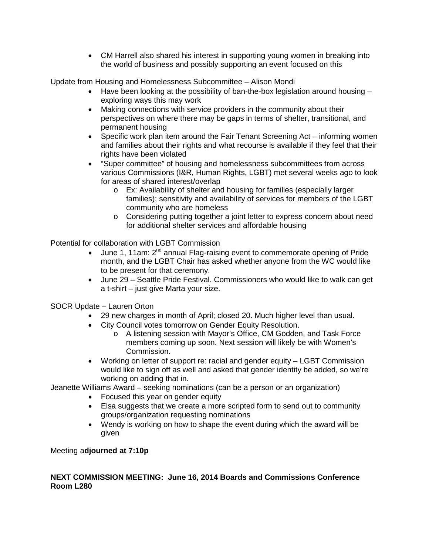• CM Harrell also shared his interest in supporting young women in breaking into the world of business and possibly supporting an event focused on this

Update from Housing and Homelessness Subcommittee – Alison Mondi

- Have been looking at the possibility of ban-the-box legislation around housing exploring ways this may work
- Making connections with service providers in the community about their perspectives on where there may be gaps in terms of shelter, transitional, and permanent housing
- Specific work plan item around the Fair Tenant Screening Act informing women and families about their rights and what recourse is available if they feel that their rights have been violated
- "Super committee" of housing and homelessness subcommittees from across various Commissions (I&R, Human Rights, LGBT) met several weeks ago to look for areas of shared interest/overlap
	- o Ex: Availability of shelter and housing for families (especially larger families); sensitivity and availability of services for members of the LGBT community who are homeless
	- o Considering putting together a joint letter to express concern about need for additional shelter services and affordable housing

Potential for collaboration with LGBT Commission

- June 1, 11am:  $2^{nd}$  annual Flag-raising event to commemorate opening of Pride month, and the LGBT Chair has asked whether anyone from the WC would like to be present for that ceremony.
- June 29 Seattle Pride Festival. Commissioners who would like to walk can get a t-shirt – just give Marta your size.

SOCR Update – Lauren Orton

- 29 new charges in month of April; closed 20. Much higher level than usual.
- City Council votes tomorrow on Gender Equity Resolution.
	- o A listening session with Mayor's Office, CM Godden, and Task Force members coming up soon. Next session will likely be with Women's Commission.
- Working on letter of support re: racial and gender equity LGBT Commission would like to sign off as well and asked that gender identity be added, so we're working on adding that in.

Jeanette Williams Award – seeking nominations (can be a person or an organization)

- Focused this year on gender equity
- Elsa suggests that we create a more scripted form to send out to community groups/organization requesting nominations
- Wendy is working on how to shape the event during which the award will be given

Meeting a**djourned at 7:10p**

## **NEXT COMMISSION MEETING: June 16, 2014 Boards and Commissions Conference Room L280**